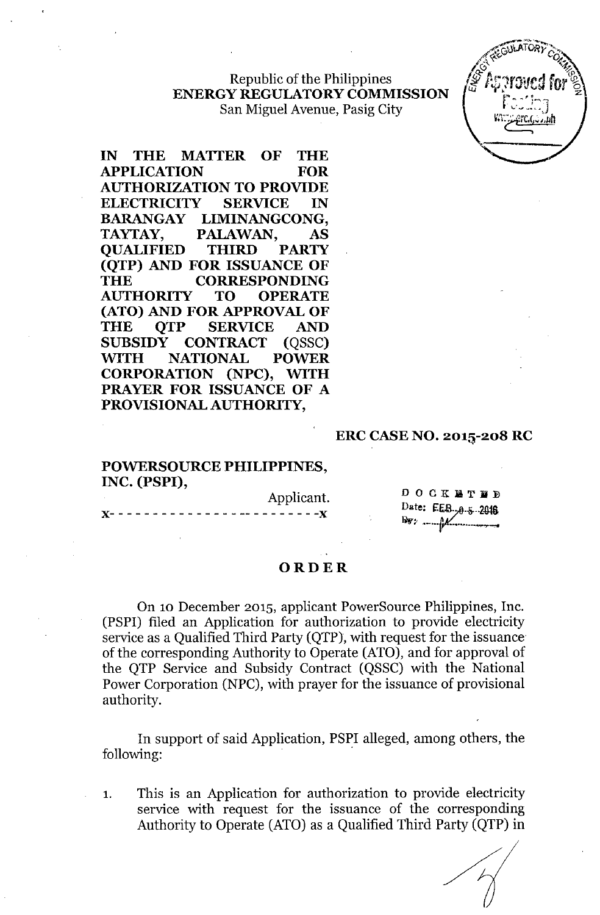Republic of the Philippines ENERGY REGULATORY COMMISSION San Miguel Avenue, Pasig City

IN THE MATTER OF THE APPLICATION FOR AUTHORIZATION TO PROVIDE ELECTRICITY SERVICE IN BARANGAY LIMINANGCONG, TAYTAY, PALAWAN, AS QUALIFIED THIRD PARTY (QTP) AND FOR ISSUANCE OF THE CORRESPONDING AUTHORITY TO OPERATE (ATO) AND FOR APPROVAL OF THE OTP SERVICE AND SUBSIDY CONTRACT (QSSC) WITH NATIONAL POWER CORPORATION (NPC), WITH PRAYER FOR ISSUANCE OF A PROVISIONAL AUTHORITY,

#### ERC CASE NO. 201S-208 RC

### POWERSOURCE PHILIPPINES, INC. (PSPI),

Applicant. )(- - - - - - - - - - - - - - - -- - - - - - - - -)(

 $\begin{array}{ccccccccccccccccc} \textbf{D} & \textbf{O} & \textbf{C} & \textbf{K} & \textbf{M} & \textbf{T} & \textbf{M} & \textbf{D} \end{array}$ Date: EE8.,0.5.2018

#### ORDER

On 10 December 2015, applicant PowerSource Philippines, Inc. (PSPI) filed an Application for authorization to provide electricity service as a Qualified Third Party (QTP), with request for the issuance of the corresponding Authority to Operate (ATO), and for approval of the QTP Service and Subsidy Contract (QSSC) with the National Power Corporation (NPC), with prayer for the issuance of provisional authority.

In support of said Application, PSPI alleged, among others, the following: .

1. This is an Application for authorization to provide electricity service with request for the issuance of the corresponding Authority to Operate (ATO) as a Qualified Third Party (QTP) in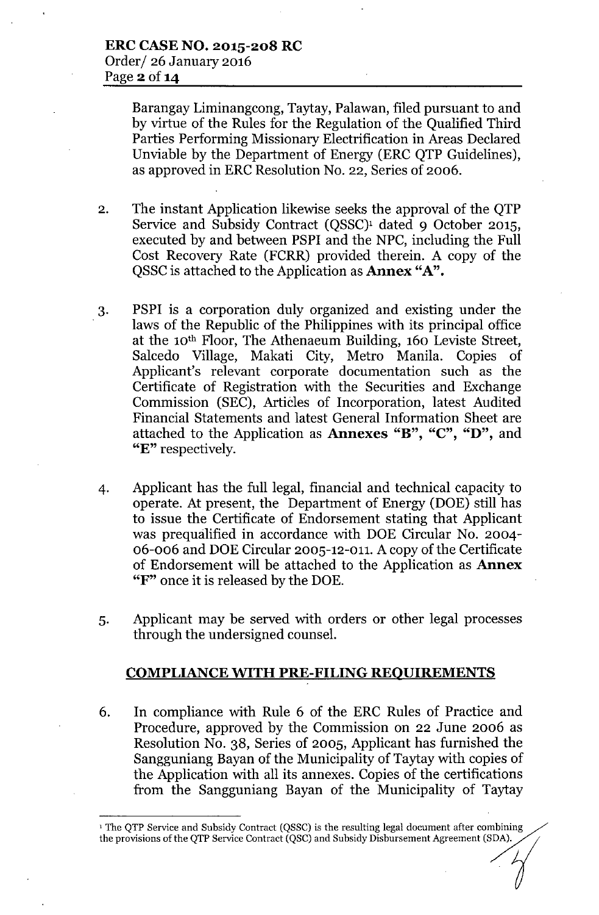Barangay Liminangcong, Taytay, Palawan, filed pursuant to and by virtue of the Rules for the Regulation of the Qualified Third Parties Performing Missionary Electrification in Areas Declared Unviable by the Department of Energy (ERC QTP Guidelines), as approved in ERC Resolution No. 22, Series of 2006.

- 2. The instant Application likewise seeks the approval of the QTP Service and Subsidy Contract (QSSC)<sup>1</sup> dated 9 October 2015, executed by and between PSPI and the NPC, including the Full Cost Recovery Rate (FCRR) provided therein. A copy of the QSSC is attached to the Application as **Annex "A".**
- 3. PSPI is a corporation duly organized and existing under the laws of the Republic of the Philippines with its principal office at the 10th Floor, The Athenaeum Building, 160 Leviste Street, Salcedo Village, Makati City, Metro Manila. Copies of Applicant's relevant corporate documentation such as the Certificate of Registration with the Securities and Exchange Commission (SEC), Articles of Incorporation, latest Audited Financial Statements and latest General Information Sheet are attached to the Application as Annexes "B", "C", "D", and "E" respectively.
- 4. Applicant has the full legal, financial and technical capacity to operate. At present, the Department of Energy (DOE) still has to issue the Certificate of Endorsement stating that Applicant was prequalified in accordance with DOE Circular No. 2004-06-006 and DOE Circular 2005-12-011. A copy of the Certificate of Endorsement will be attached to the Application as Annex "F" once it is released by the DOE.
- 5. Applicant may be served with orders or other legal processes through the undersigned counsel.

### COMPLIANCE WITH PRE-FILING REQUIREMENTS

6. In compliance with Rule 6 of the ERC Rules of Practice and Procedure, approved by the Commission on 22 June 2006 as Resolution No. 38, Series of 2005, Applicant has furnished the Sangguniang Bayan of the Municipality of Taytay with copies of the Application with all its annexes. Copies of the certifications from the Sangguniang Bayan of the Municipality of Taytay

<sup>&</sup>lt;sup>1</sup> The QTP Service and Subsidy Contract (QSSC) is the resulting legal document after combining the provisions of the QTP Service Contract (QSC) and Subsidy Disbursement Agreement (SDA).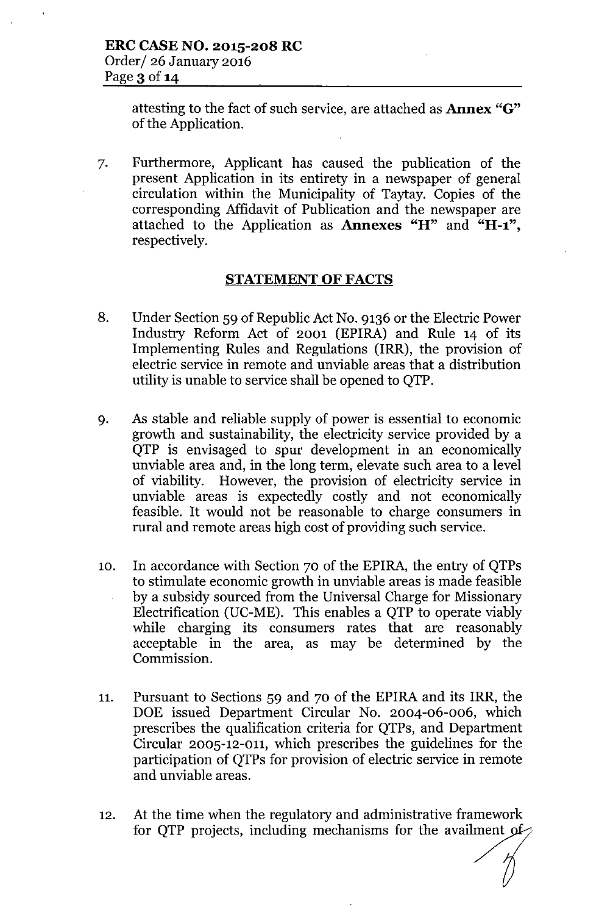attesting to the fact of such service, are attached as Annex "G" of the Application.

7. Furthermore, Applicant has caused the publication of the present Application in its entirety in a newspaper of general circulation within the Municipality of Taytay. Copies of the corresponding Affidavit of Publication and the newspaper are attached to the Application as Annexes "H" and "H-1", respectively.

## STATEMENT OF FACTS

- 8. Under Section 59 of Republic Act No. 9136 or the Electric Power Industry Reform Act of 2001 (EPIRA) and Rule 14 of its Implementing Rules and Regulations (IRR), the provision of electric service in remote and unviable areas that a distribution utility is unable to service shall be opened to QTP.
- 9. As stable and reliable supply of power is essential to economic growth and sustain ability, the electricity service provided by a QTP is envisaged to spur development in an economically unviable area and, in the long term, elevate such area to a level of viability. However, the provision of electricity service in unviable areas is expectedly costly and not economically feasible. It would not be reasonable to charge consumers in rural and remote areas high cost of providing such service.
- 10. In accordance with Section 70 of the EPIRA, the entry of QTPs to stimulate economic growth in unviable areas is made feasible by a subsidy sourced from the Universal Charge for Missionary Electrification (UC-ME). This enables a QTP to operate viably while charging its consumers rates that are reasonably acceptable in the area, as may be determined by the Commission.
- 11. Pursuant to Sections 59 and 70 of the EPIRA and its IRR, the DOE issued Department Circular No. 2004-06-006, which prescribes the qualification criteria for QTPs, and Department Circular 2005-12-011, which prescribes the guidelines for the participation of QTPs for provision of electric service in remote and unviable areas.
- 12. At the time when the regulatory and administrative framework for QTP projects, including mechanisms for the availment of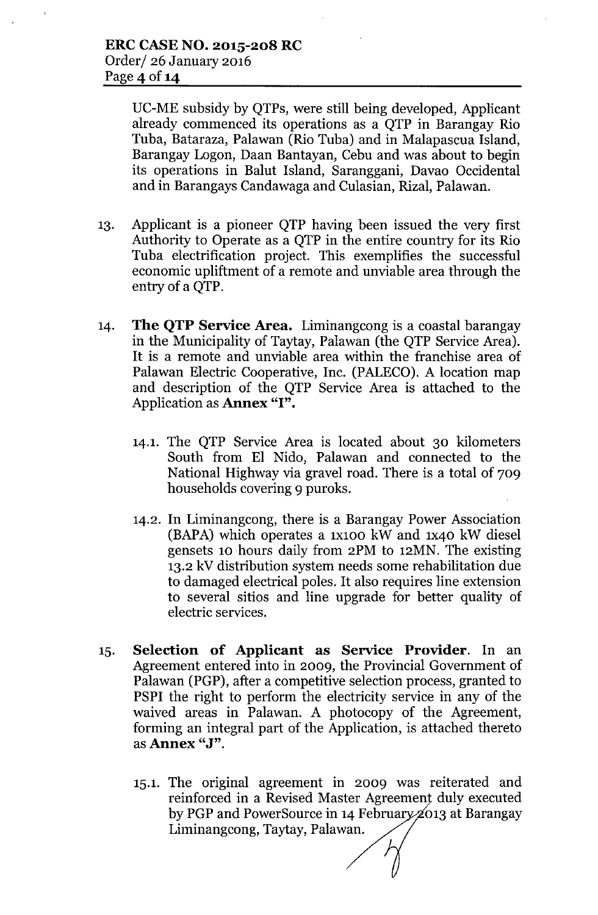DC-ME subsidy by QTPs, were still being developed, Applicant already commenced its operations as a QTP in Barangay Rio Tuba, Bataraza, Palawan (Rio Tuba) and in Malapascua Island, Barangay Logon, Daan Bantayan, Cebu and was about to begin its operations in Balut Island, Saranggani, Davao Occidental and in Barangays Candawaga and Culasian, Rizal, Palawan.

- 13. Applicant is a pioneer QTP having been issued the very first Authority to Operate as a QTP in the entire country for its Rio Tuba electrification project. This exemplifies the successful economic upliftment of a remote and unviable area through the entry of a QTP.
- 14. **The QTP Service Area.** Liminangcong is a coastal barangay in the Municipality of Taytay, Palawan (the QTP Service Area). It is a remote and unviable area within the franchise area of Palawan Electric Cooperative, Inc. (PALECO). A location map and description of the QTP Service Area is attached to the Application as Annex "I".
	- 14.1. The QTP Service Area is located about 30 kilometers South from EI Nido, Palawan and connected to the National Highway via gravel road. There is a total of 709 households covering 9 puroks.
	- 14.2. In Liminangcong, there is a Barangay Power Association  $(BAPA)$  which operates a 1x100 kW and 1x40 kW diesel gensets 10 hours daily from 2PM to 12MN. The existing 13.2 kV distribution system needs some rehabilitation due to damaged electrical poles. It also requires line extension to several sitios and line upgrade for better quality of electric services.
- 15. Selection of Applicant as Service Provider. In an Agreement entered into in 2009, the Provincial Government of Palawan (PGP), after a competitive selection process, granted to PSPI the right to perform the electricity service in any of the waived areas in Palawan. A photocopy of the Agreement, forming an integral part of the Application, is attached thereto as Annex "J".
	- 15.1. The original agreement in 2009 was reiterated and reinforced in a Revised Master Agreement duly executed by PGP and PowerSource in 14 February 2013 at Barangay Liminangcong, Taytay, Palawan.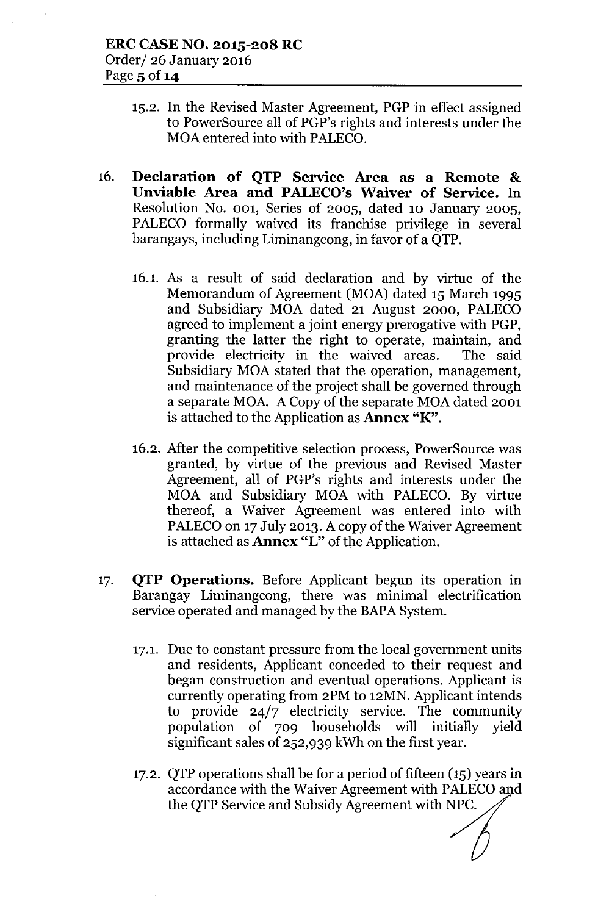- 15.2. In the Revised Master Agreement, PGP in effect assigned to PowerSource all of PGP's rights and interests under the MOA entered into with PALECO.
- 16. Declaration of QTP Service Area as a Remote & Unviable Area and PALECO's Waiver of Service. In Resolution No. 001, Series of 2005, dated 10 January 2005, PALECO formally waived its franchise privilege in several barangays, including Liminangcong, in favor of a QTP.
	- 16.1. As a result of said declaration and by virtue of the Memorandum of Agreement (MOA) dated 15 March 1995 and Subsidiary MOA dated 21 August 2000, PALECO agreed to implement a joint energy prerogative with PGP, granting the latter the right to operate, maintain, and provide electricity in the waived areas. The said Subsidiary MOA stated that the operation, management, and maintenance of the project shall be governed through a separate MOA. A Copy of the separate MOA dated 2001 is attached to the Application as Annex "K".
	- 16.2. After the competitive selection process, PowerSource was granted, by virtue of the previous and Revised Master Agreement, all of PGP's rights and interests under the MOA and Subsidiary MOA with PALECO. By virtue thereof, a Waiver Agreement was entered into with PALECO on 17 July 2013. A copy of the Waiver Agreement is attached as **Annex** "L" of the Application.
- 17. QTP Operations. Before Applicant begun its operation in Barangay Liminangcong, there was minimal electrification service operated and managed by the BAPA System.
	- 17.1. Due to constant pressure from the local government units and residents, Applicant conceded to their request and began construction and eventual operations. Applicant is currently operating from 2PM to 12MN. Applicant intends to provide  $24/7$  electricity service. The community population of 709 households will initially yield significant sales of 252,939 kWh on the first year.
	- 17.2. QTP operations shall be for a period of fifteen (15) years in accordance with the Waiver Agreement with PALECOand the QTP Service and Subsidy Agreement with NPC.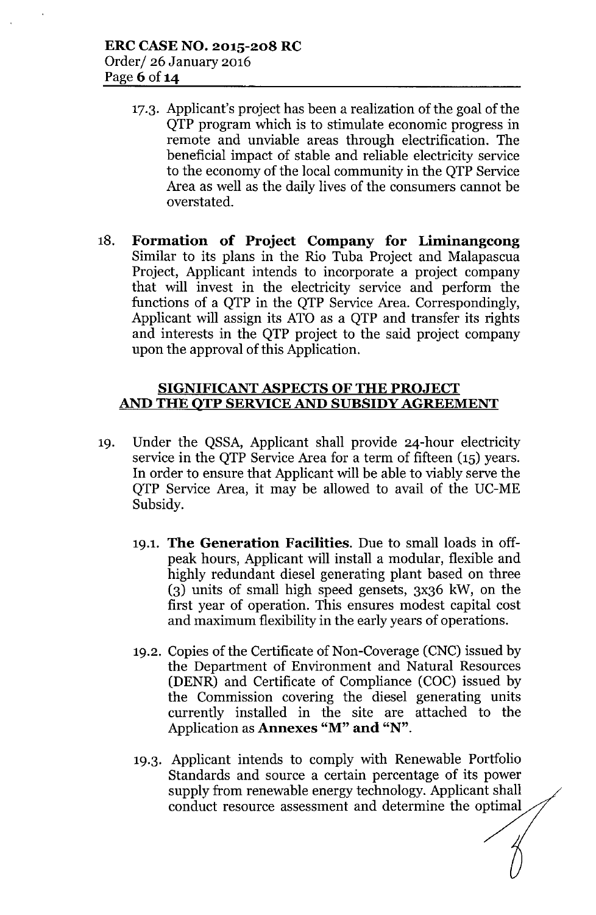- 17.3. Applicant's project has been a realization of the goal of the QTP program which is to stimulate economic progress in remote and unviable areas through electrification. The beneficial impact of stable and reliable electricity service to the economy of the local community in the QTP Service Area as well as the daily lives of the consumers cannot be overstated.
- 18. Formation of Project Company for Liminangcong Similar to its plans in the Rio Tuba Project and Malapascua Project, Applicant intends to incorporate a project company that will invest in the electricity service and perform the functions of a QTP in the QTP Service Area. Correspondingly, Applicant will assign its ATO as a QTP and transfer its rights and interests in the QTP project to the said project company upon the approval of this Application.

# SIGNIFICANT ASPECTS OF THE PROJECT AND THE QTP SERVICE AND SUBSIDY AGREEMENT

- 19. Under the QSSA, Applicant shall provide 24-hour electricity service in the QTP Service Area for a term of fifteen (IS) years. In order to ensure that Applicant will be able to viably serve the QTP Service Area, it may be allowed to avail of the UC-ME Subsidy.
	- 19.1. The Generation Facilities. Due to small loads in offpeak hours, Applicant will install a modular, flexible and highly redundant diesel generating plant based on three (3) units of small high speed gensets, 3x36 kW, on the first year of operation. This ensures modest capital cost and maximum flexibility in the early years of operations.
	- 19.2. Copies of the Certificate of Non-Coverage (CNC) issued by the Department of Environment and Natural Resources (DENR) and Certificate of Compliance (COC) issued by the Commission covering the diesel generating units currently installed in the site are attached to the Application as **Annexes** "M" and "N".
	- 19.3. Applicant intends to comply with Renewable Portfolio Standards and source a certain percentage of its power supply from renewable energy technology. Applicant shall conduct resource assessment and determine the optimal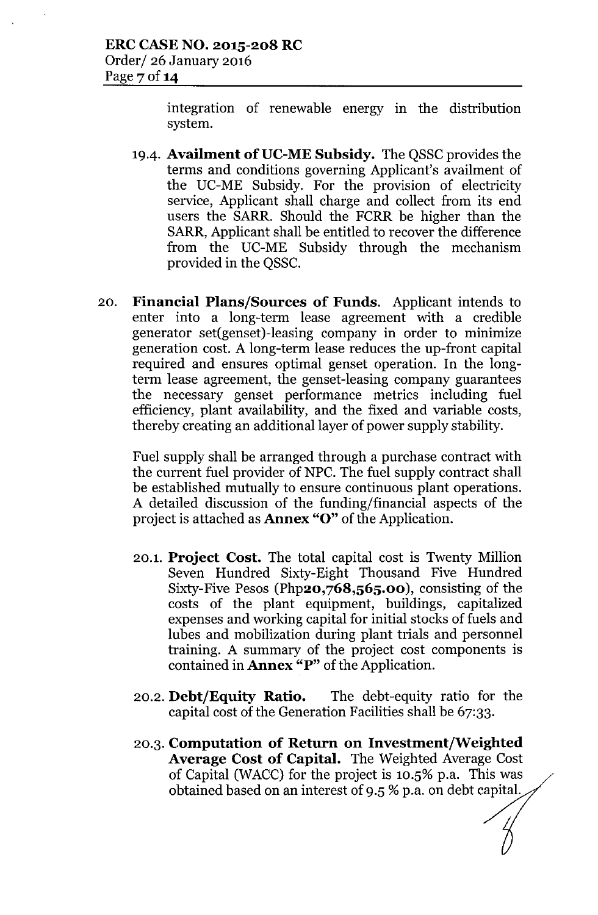integration of renewable energy in the distribution system.

- 19.4. Availment of UC-ME Subsidy. The OSSC provides the terms and conditions governing Applicant's availment of the UC-ME Subsidy. For the provision of electricity service, Applicant shall charge and collect from its end users the SARR. Should the FCRR be higher than the SARR, Applicant shall be entitled to recover the difference from the UC-ME Subsidy through the mechanism provided in the QSSC.
- 20. Financial Plans/Sources of Funds. Applicant intends to enter into a long-term lease agreement with a credible generator set(genset)-leasing company in order to minimize generation cost. A long-term lease reduces the up-front capital required and ensures optimal genset operation. In the longterm lease agreement, the genset-leasing company guarantees the necessary genset performance metrics including fuel efficiency, plant availability, and the fixed and variable costs, thereby creating an additional layer of power supply stability.

Fuel supply shall be arranged through a purchase contract with the current fuel provider of NPC. The fuel supply contract shall be established mutually to ensure continuous plant operations. A detailed discussion of the funding/financial aspects of the project is attached as Annex "0" of the Application.

- 20.1. Project Cost. The total capital cost is Twenty Million Seven Hundred Sixty-Eight Thousand Five Hundred Sixty-Five Pesos (Php20,768,565.00), consisting of the costs of the plant equipment, buildings, capitalized expenses and working capital for initial stocks of fuels and lubes and mobilization during plant trials and personnel training. A summary of the project cost components is contained in Annex "P" of the Application.
- 20.2. Debt/Equity Ratio. The debt-equity ratio for the capital cost of the Generation Facilities shall be 67:33.
- 20.3. Computation of Return on Investment/Weighted Average Cost of Capital. The Weighted Average Cost of Capital (WACC) for the project is  $10.5\%$  p.a. This was obtained based on an interest of 9.5 % p.a. on debt capital.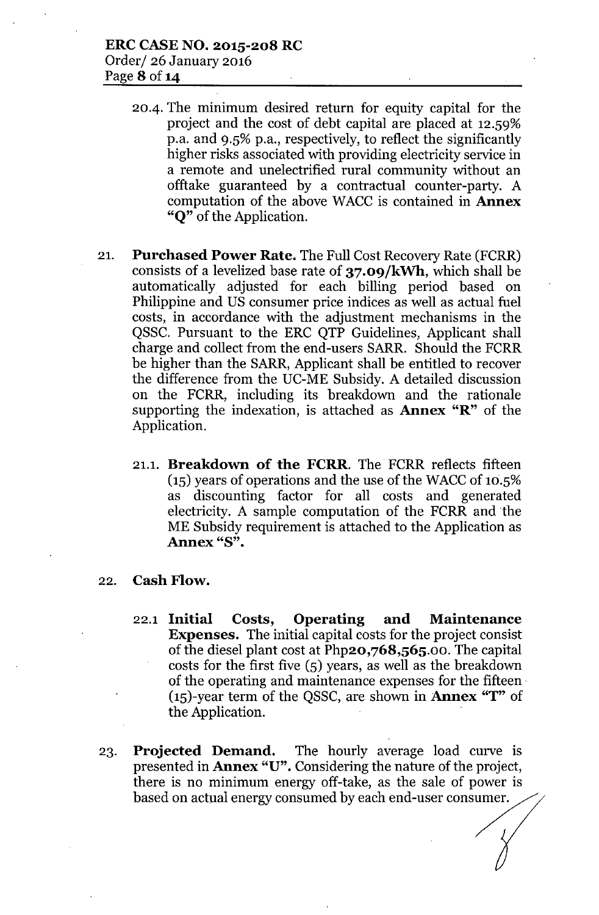- 20-4. The minimum desired return for equity capital for the project and the cost of debt capital are placed at 12.59% p.a. and 9.5% p.a., respectively, to reflect the significantly higher risks associated with providing electricity service in a remote and unelectrified rural community without an offtake guaranteed by a contractual counter-party. A computation of the above WACC is contained in **Annex** "Q" of the Application.
- 21. Purchased Power Rate. The Full Cost Recovery Rate (FCRR) consists of a levelized base rate of 37.09/kWh, which shall be automatically adjusted for each billing period based on Philippine and US consumer price indices as well as actual fuel costs, in accordance with the adjustment mechanisms in the QSSC. Pursuant to the ERC QTP Guidelines, Applicant shall charge and collect from the end-users SARR. Should the FCRR be higher than the SARR, Applicant shall be entitled to recover the difference from the UC-ME Subsidy. A detailed discussion on the FCRR, including its breakdown and the rationale supporting the indexation, is attached as **Annex**  $\mathbf{R}$  of the Application.
	- 21.1. Breakdown of the FCRR. The FCRR reflects fifteen  $(15)$  years of operations and the use of the WACC of 10.5% as discounting factor for all costs and generated electricity. A sample computation of the FCRR and the ME Subsidy requirement is attached to the Application as Annex "S".
- 22. Cash Flow.
	- 22.1 Initial Costs, Operating and Maintenance Expenses. The initial capital costs for the project consist of the diesel plant cost at Php20,768,565.00. The capital costs for the first five (5) years, as well as the breakdown of the operating and maintenance expenses for the fifteen.  $(15)$ -year term of the QSSC, are shown in **Annex "T"** of the Application.
- 23. Projected Demand. The hourly average load curve is presented in Annex "U". Considering the nature of the project, there is no minimum energy off-take, as the sale of power is **Projected Demand.** The hourly average load curve is presented in **Annex "U".** Considering the nature of the project, there is no minimum energy off-take, as the sale of power is based on actual energy consumed by each end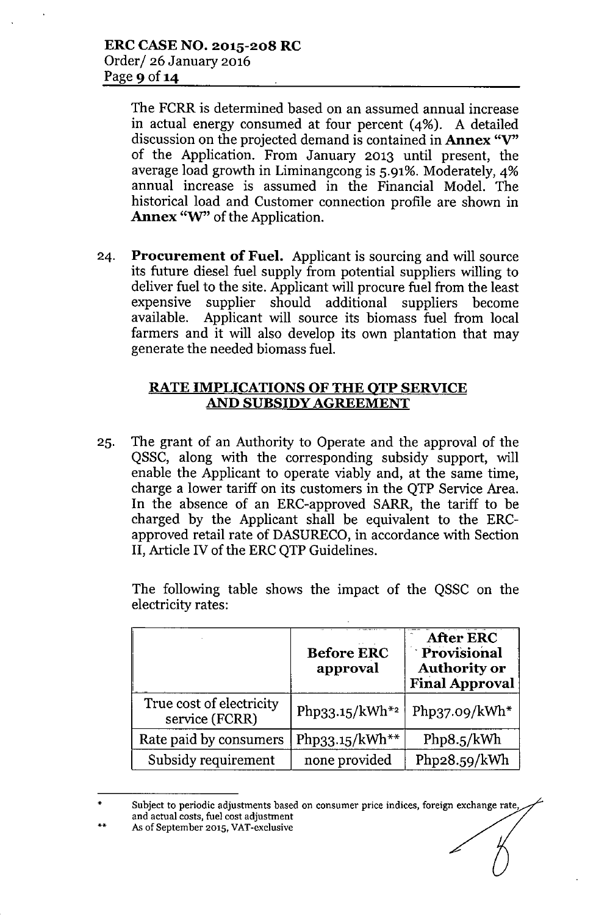The FCRR is determined based on an assumed annual increase in actual energy consumed at four percent (4%). A detailed discussion on the projected demand is contained in **Annex** "V" of the Application. From January 2013 until present, the average load growth in Liminangcong is 5.91%. Moderately, 4% annual increase is assumed in the Financial Model. The historical load and Customer connection profile are shown in Annex "W" of the Application.

24. Procurement of Fuel. Applicant is sourcing and will source its future diesel fuel supply from potential suppliers willing to deliver fuel to the site. Applicant will procure fuel from the least expensive supplier should additional suppliers become available. Applicant will source its biomass fuel from local farmers and it will also develop its own plantation that may generate the needed biomass fuel.

# RATE IMPLICATIONS OF THE QTP SERVICE AND SUBSIDY AGREEMENT

2S. The grant of an Authority to Operate and the approval of the QSSC, along with the corresponding subsidy support, will enable the Applicant to operate viably and, at the same time, charge a lower tariff on its customers in the QTP Service Area. In the absence of an ERC-approved SARR, the tariff to be charged by the Applicant shall be equivalent to the ERCapproved retail rate of DASURECO, in accordance with Section II, Article IV of the ERC OTP Guidelines.

The following table shows the impact of the QSSC on the electricity rates:

|                                            | <b>Before ERC</b><br>approval | <b>After ERC</b><br>Provisional<br><b>Authority or</b><br><b>Final Approval</b> |
|--------------------------------------------|-------------------------------|---------------------------------------------------------------------------------|
| True cost of electricity<br>service (FCRR) | Php33.15/kWh <sup>*2</sup>    | Php37.09/ $kWh*$                                                                |
| Rate paid by consumers                     | Php33.15/kWh**                | Php8.5/kWh                                                                      |
| Subsidy requirement                        | none provided                 | Php28.59/kWh                                                                    |

<sup>•</sup> •• Subject to periodic adjustments based on consumer price indices, foreign exchange rate, and actual costs, fuel cost adjustment As of September 2015. VAT-exclusive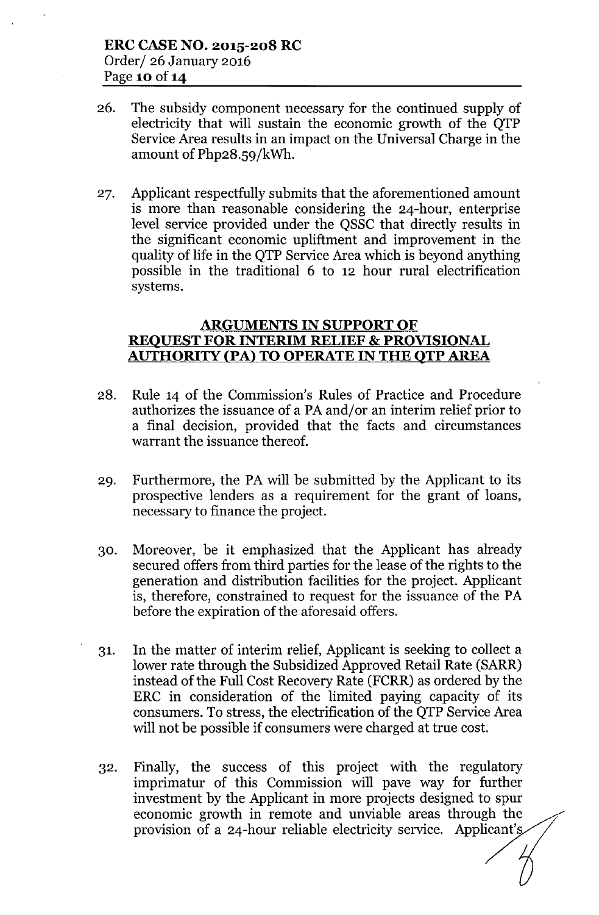- 26. The subsidy component necessary for the continued supply of electricity that will sustain the economic growth of the QTP Service Area results in an impact on the Universal Charge in the amount of Php28.59/kWh.
- 27. Applicant respectfully submits that the aforementioned amount is more than reasonable considering the 24-hour, enterprise level service provided under the QSSC that directly results in the significant economic upliftment and improvement in the quality of life in the QTP Service Area which is beyond anything possible in the traditional 6 to 12 hour rural electrification systems.

# **ARGUMENTS IN SUPPORT OF REQUEST FOR INTERIM RELIEF & PROVISIONAL AUTHORITY (PAl TO OPERATE IN THE QTP AREA**

- 28. Rule 14 of the Commission's Rules of Practice and Procedure authorizes the issuance of a PA and/or an interim relief prior to a final decision, provided that the facts and circumstances warrant the issuance thereof.
- 29. Furthermore, the PA will be submitted by the Applicant to its prospective lenders as a requirement for the grant of loans, necessary to finance the project.
- 30. Moreover, be it emphasized that the Applicant has already secured offers from third parties for the lease of the rights to the generation and distribution facilities for the project. Applicant is, therefore, constrained to request for the issuance of the PA before the expiration of the aforesaid offers.
- 31. In the matter of interim relief, Applicant is seeking to collect a lower rate through the Subsidized Approved Retail Rate (SARR) instead of the Full Cost Recovery Rate (FCRR) as ordered by the ERC in consideration of the limited paying capacity of its consumers. To stress, the electrification of the QTP Service Area will not be possible if consumers were charged at true cost.
- 32. Finally, the success of this project with the regulatory imprimatur of this Commission will pave way for further investment by the Applicant in more projects designed to spur economic growth in remote and unviable areas through the provision of a 24-hour reliable electricity service. Applicant's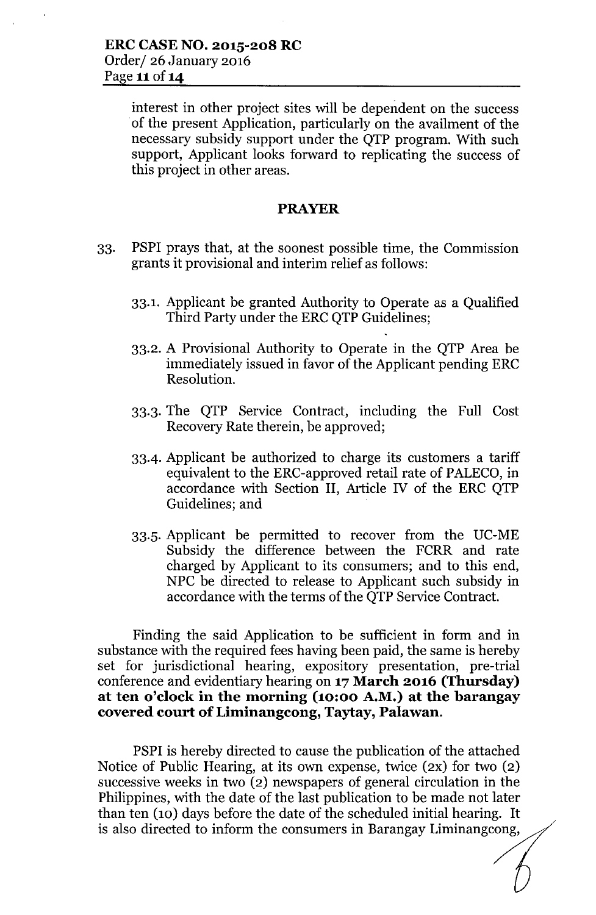interest in other project sites will be dependent on the success of the present Application, particularly on the availment of the necessary subsidy support under the QTP program. With such support, Applicant looks forward to replicating the success of this project in other areas.

#### **PRAYER**

- 33. PSPI prays that, at the soonest possible time, the Commission grants it provisional and interim relief as follows:
	- 33.1. Applicant be granted Authority to Operate as a Qualified Third Party under the ERC QTP Guidelines;
	- 33.2. A Provisional Authority to Operate in the QTP Area be immediately issued in favor of the Applicant pending ERC Resolution.
	- 33.3. The QTP Service Contract, including the Full Cost Recovery Rate therein, be approved;
	- 33-4. Applicant be authorized to charge its customers a tariff equivalent to the ERC-approved retail rate of PALECO, in accordance with Section **II,** Article IV of the ERC QTP Guidelines; and
	- 33.5. Applicant be permitted to recover from the DC-ME Subsidy the difference between the FCRR and rate charged by Applicant to its consumers; and to this end, NPC be directed to release to Applicant such subsidy in accordance with the terms of the QTP Service Contract.

Finding the said Application to be sufficient in form and in substance with the required fees having been paid, the same is hereby set for jurisdictional hearing, expository presentation, pre-trial conference and evidentiary hearing on **17March 2016 (Thursday) at ten o'clock in the morning (10:00 A.M.) at the barangay covered court of Liminangcong, Taytay, Palawan.**

PSPI is hereby directed to cause the publication of the attached Notice of Public Hearing, at its own expense, twice (2X) for two (2) successive weeks in two (2) newspapers of general circulation in the Philippines, with the date of the last publication to be made not later than ten (10) days before the date of the scheduled initial hearing. It is also directed to inform the consumers in Barangay Liminangcong,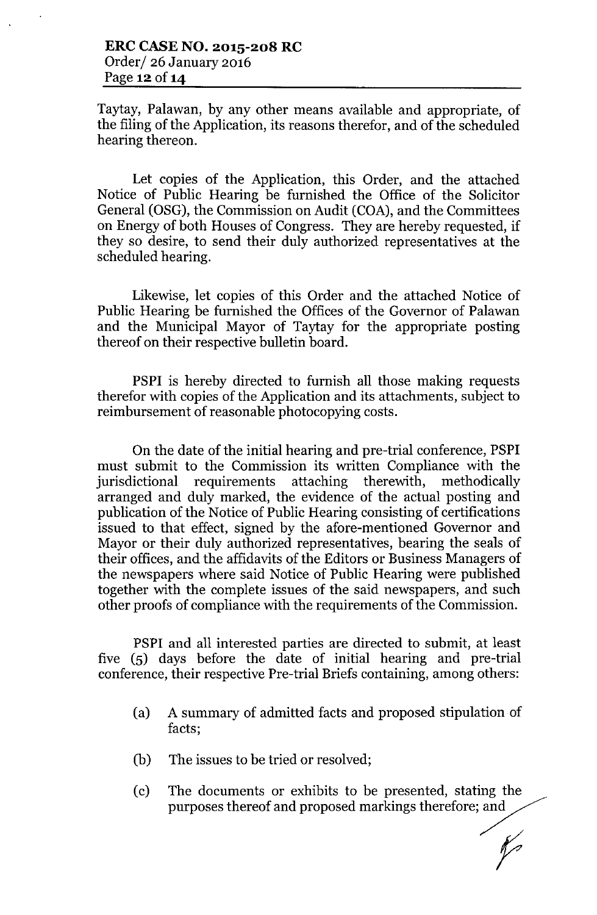Taytay, Palawan, by any other means available and appropriate, of the filing of the Application, its reasons therefor, and of the scheduled hearing thereon.

Let copies of the Application, this Order, and the attached Notice of Public Hearing be furnished the Office of the Solicitor General (OSG), the Commission on Audit (COA), and the Committees on Energy of both Houses of Congress. They are hereby requested, if they so desire, to send their duly authorized representatives at the scheduled hearing.

Likewise, let copies of this Order and the attached Notice of Public Hearing be furnished the Offices of the Governor of Palawan and the Municipal Mayor of Taytay for the appropriate posting thereof on their respective bulletin board.

PSPI is hereby directed to furnish all those making requests therefor with copies of the Application and its attachments, subject to reimbursement of reasonable photocopying costs.

On the date of the initial hearing and pre-trial conference, PSPI must submit to the Commission its written Compliance with the jurisdictional requirements attaching therewith, methodically arranged and duly marked, the evidence of the actual posting and publication of the Notice of Public Hearing consisting of certifications issued to that effect, signed by the afore-mentioned Governor and Mayor or their duly authorized representatives, bearing the seals of their offices, and the affidavits of the Editors or Business Managers of the newspapers where said Notice of Public Hearing were published together with the complete issues of the said newspapers, and such other proofs of compliance with the requirements of the Commission.

PSPI and all interested parties are directed to submit, at least five (5) days before the date of initial hearing and pre-trial conference, their respective Pre-trial Briefs containing, among others:

- (a) A summary of admitted facts and proposed stipulation of facts;
- (b) The issues to be tried or resolved;
- (c) The documents or exhibits to be presented, stating the purposes thereof and proposed markings therefore; and

 $\mathscr{C}$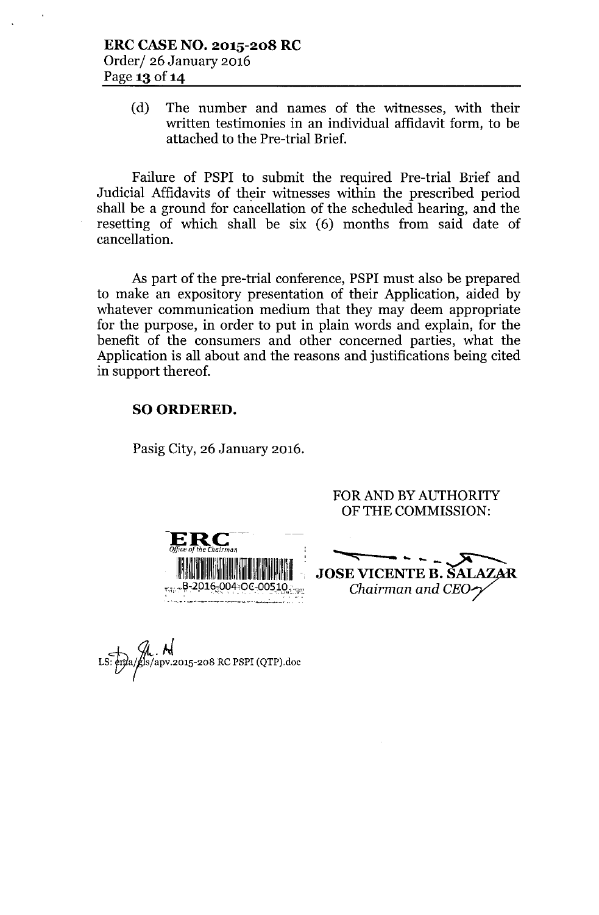(d) The number and names of the witnesses, with their written testimonies in an individual affidavit form, to be attached to the Pre-trial Brief.

Failure of PSPI to submit the required Pre-trial Brief and Judicial Affidavits of their witnesses within the prescribed period shall be a ground for cancellation of the scheduled hearing, and the resetting of which shall be six (6) months from said date of cancellation.

As part of the pre-trial conference, PSPI must also be prepared to make an expository presentation of their Application, aided by whatever communication medium that they may deem appropriate for the purpose, in order to put in plain words and explain, for the benefit of the consumers and other concerned parties, what the Application is all about and the reasons and justifications being cited in support thereof.

### SO ORDERED.

Pasig City, 26 January 2016.

 ${\bf ERC}^-$ *Office of the Chairman :* 1111:11!11~11~11!1!111!111111~~!11111'11111111111'1~~~IIII~~ .. ,' 004-OC-00510,

FOR AND BY AUTHORITY OF THE COMMISSION:

•.. JOSE VICENTE B. SAL *Chairman and CE07*

ls/apv.2015-208 RC PSPI (QTP).doc